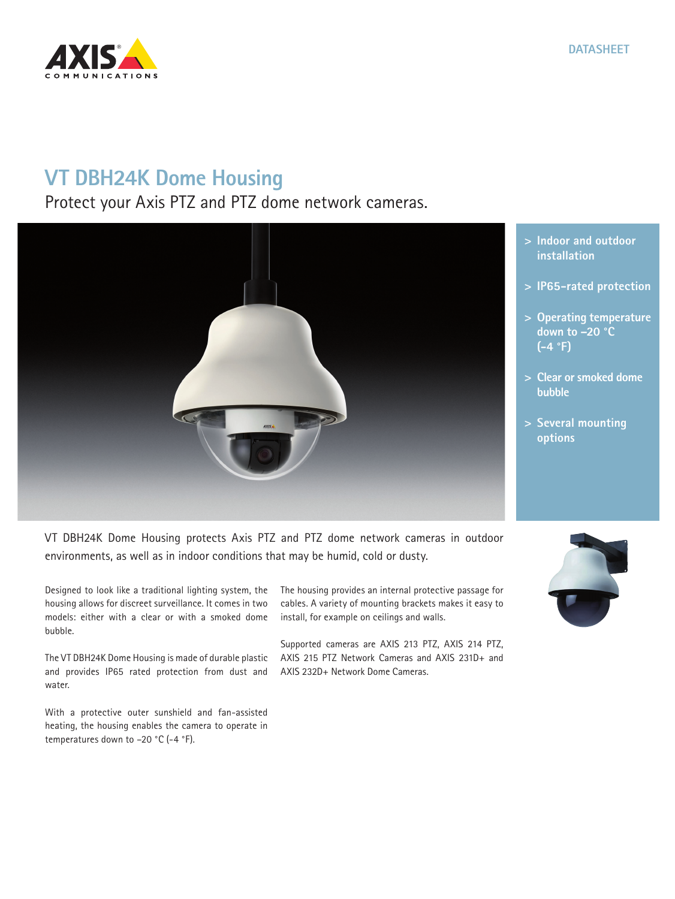

## **VT DBH24K Dome Housing**

Protect your Axis PTZ and PTZ dome network cameras.



VT DBH24K Dome Housing protects Axis PTZ and PTZ dome network cameras in outdoor environments, as well as in indoor conditions that may be humid, cold or dusty.

Designed to look like a traditional lighting system, the housing allows for discreet surveillance. It comes in two models: either with a clear or with a smoked dome bubble.

The VT DBH24K Dome Housing is made of durable plastic and provides IP65 rated protection from dust and water.

With a protective outer sunshield and fan-assisted heating, the housing enables the camera to operate in temperatures down to –20 °C (-4 °F).

The housing provides an internal protective passage for cables. A variety of mounting brackets makes it easy to install, for example on ceilings and walls.

Supported cameras are AXIS 213 PTZ, AXIS 214 PTZ, AXIS 215 PTZ Network Cameras and AXIS 231D+ and AXIS 232D+ Network Dome Cameras.





- **> IP65-rated protection**
- **> Operating temperature**
- **> Clear or smoked dome**